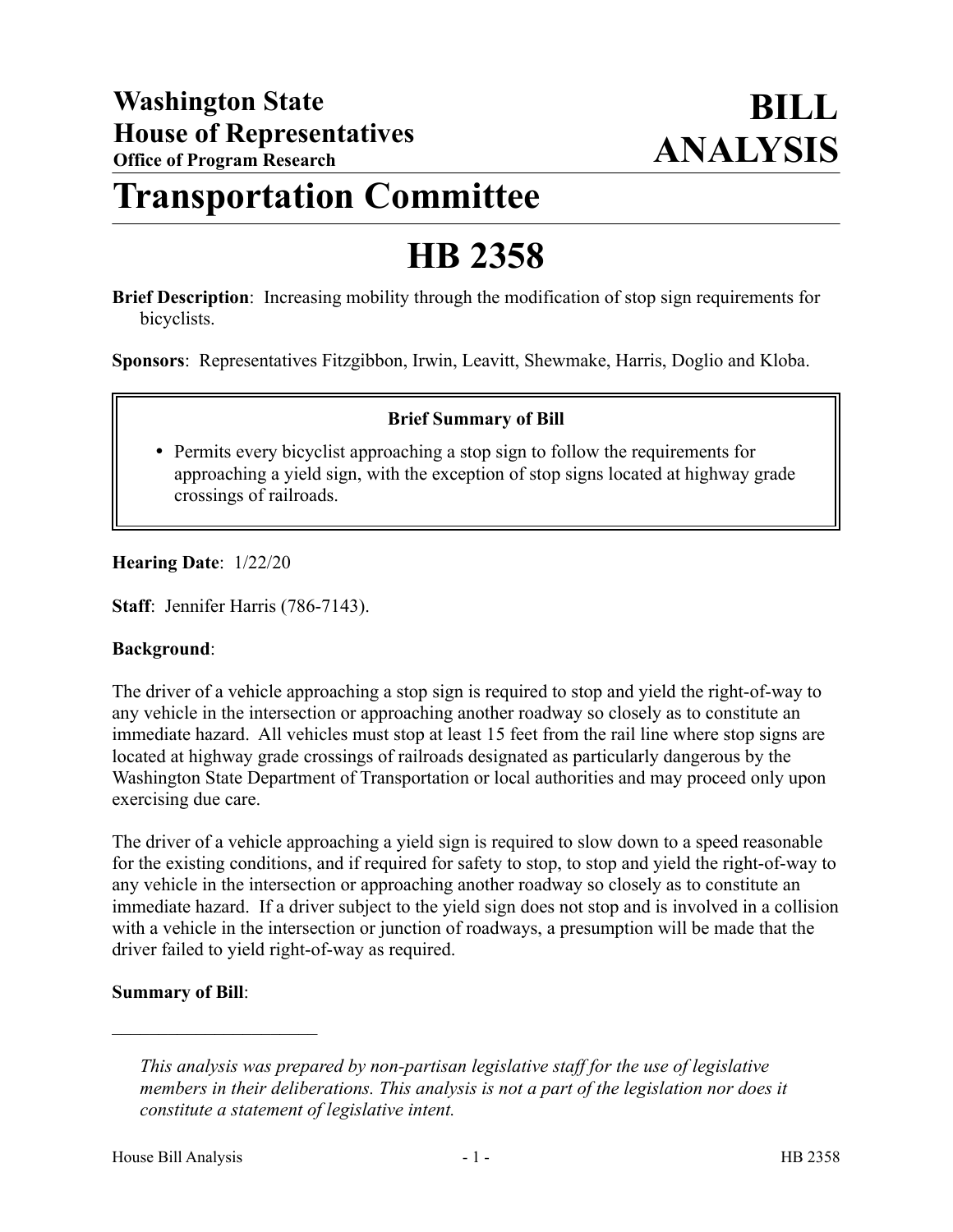## **Transportation Committee**

# **HB 2358**

**Brief Description**: Increasing mobility through the modification of stop sign requirements for bicyclists.

**Sponsors**: Representatives Fitzgibbon, Irwin, Leavitt, Shewmake, Harris, Doglio and Kloba.

### **Brief Summary of Bill**

• Permits every bicyclist approaching a stop sign to follow the requirements for approaching a yield sign, with the exception of stop signs located at highway grade crossings of railroads.

### **Hearing Date**: 1/22/20

**Staff**: Jennifer Harris (786-7143).

#### **Background**:

The driver of a vehicle approaching a stop sign is required to stop and yield the right-of-way to any vehicle in the intersection or approaching another roadway so closely as to constitute an immediate hazard. All vehicles must stop at least 15 feet from the rail line where stop signs are located at highway grade crossings of railroads designated as particularly dangerous by the Washington State Department of Transportation or local authorities and may proceed only upon exercising due care.

The driver of a vehicle approaching a yield sign is required to slow down to a speed reasonable for the existing conditions, and if required for safety to stop, to stop and yield the right-of-way to any vehicle in the intersection or approaching another roadway so closely as to constitute an immediate hazard. If a driver subject to the yield sign does not stop and is involved in a collision with a vehicle in the intersection or junction of roadways, a presumption will be made that the driver failed to yield right-of-way as required.

### **Summary of Bill**:

––––––––––––––––––––––

*This analysis was prepared by non-partisan legislative staff for the use of legislative members in their deliberations. This analysis is not a part of the legislation nor does it constitute a statement of legislative intent.*